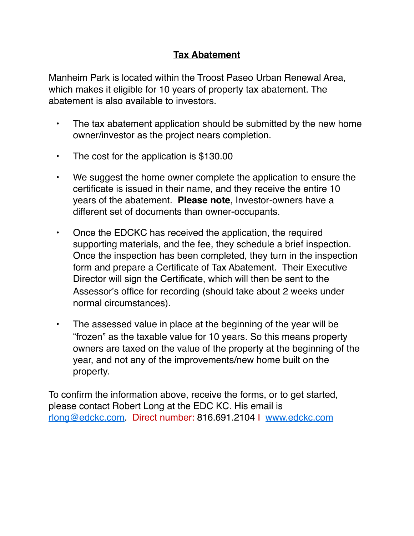## **Tax Abatement**

Manheim Park is located within the Troost Paseo Urban Renewal Area, which makes it eligible for 10 years of property tax abatement. The abatement is also available to investors.

- The tax abatement application should be submitted by the new home owner/investor as the project nears completion.
- The cost for the application is \$130.00
- We suggest the home owner complete the application to ensure the certificate is issued in their name, and they receive the entire 10 years of the abatement. **Please note**, Investor-owners have a different set of documents than owner-occupants.
- Once the EDCKC has received the application, the required supporting materials, and the fee, they schedule a brief inspection. Once the inspection has been completed, they turn in the inspection form and prepare a Certificate of Tax Abatement. Their Executive Director will sign the Certificate, which will then be sent to the Assessor's office for recording (should take about 2 weeks under normal circumstances).
- The assessed value in place at the beginning of the year will be "frozen" as the taxable value for 10 years. So this means property owners are taxed on the value of the property at the beginning of the year, and not any of the improvements/new home built on the property.

To confirm the information above, receive the forms, or to get started, please contact Robert Long at the EDC KC. His email is [rlong@edckc.com](mailto:rlong@edckc.com). Direct number: 816.691.2104 I [www.edckc.com](http://www.edckc.com/)